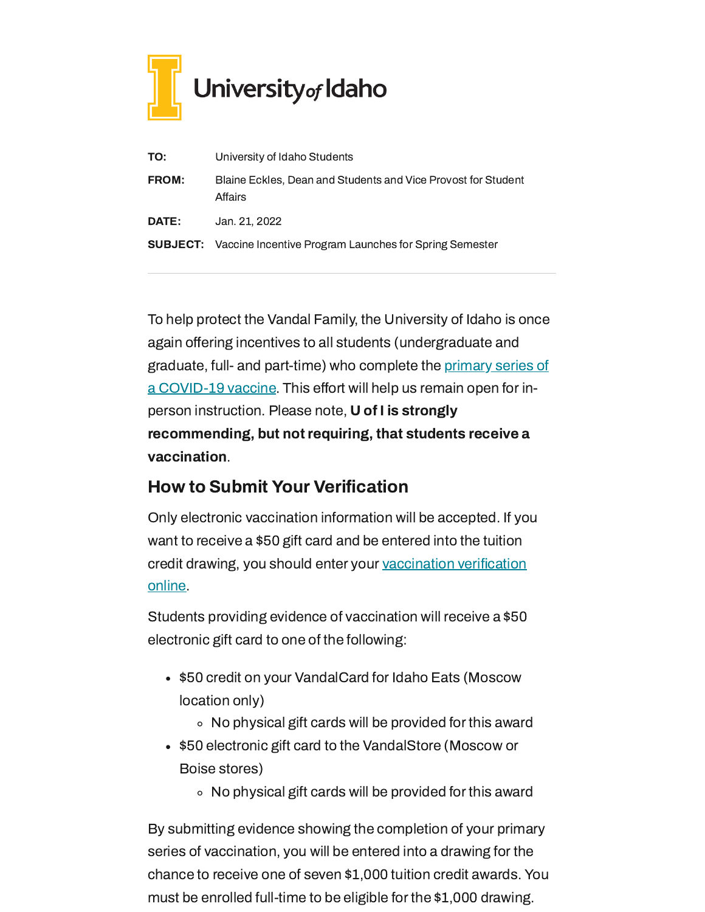

| TO:          | University of Idaho Students                                             |
|--------------|--------------------------------------------------------------------------|
| <b>FROM:</b> | Blaine Eckles, Dean and Students and Vice Provost for Student<br>Affairs |
| DATE:        | Jan. 21, 2022                                                            |
|              | <b>SUBJECT:</b> Vaccine Incentive Program Launches for Spring Semester   |

To help protect the Vandal Family, the University of Idaho is once again offering incentives to all students (undergraduate and graduate, full- and part-time) who complete the primary series of a [COVID-19](https://www.cdc.gov/coronavirus/2019-ncov/vaccines/stay-up-to-date.html) vaccine. This effort will help us remain open for inperson instruction. Please note, U of I is strongly recommending, but not requiring, that students receive a vaccination.

## How to Submit Your Verification

Only electronic vaccination information will be accepted. If you want to receive a \$50 gift card and be entered into the tuition credit drawing, you should enter your [vaccination](https://uidaho.co1.qualtrics.com/jfe/form/SV_6gICn0bvv2PZPNA) verification online.

Students providing evidence of vaccination will receive a \$50 electronic gift card to one of the following:

- \$50 credit on your VandalCard for Idaho Eats (Moscow location only)
	- No physical gift cards will be provided for this award
- \$50 electronic gift card to the VandalStore (Moscow or Boise stores)
	- No physical gift cards will be provided for this award

By submitting evidence showing the completion of your primary series of vaccination, you will be entered into a drawing for the chance to receive one of seven \$1,000 tuition credit awards. You must be enrolled full-time to be eligible for the \$1,000 drawing.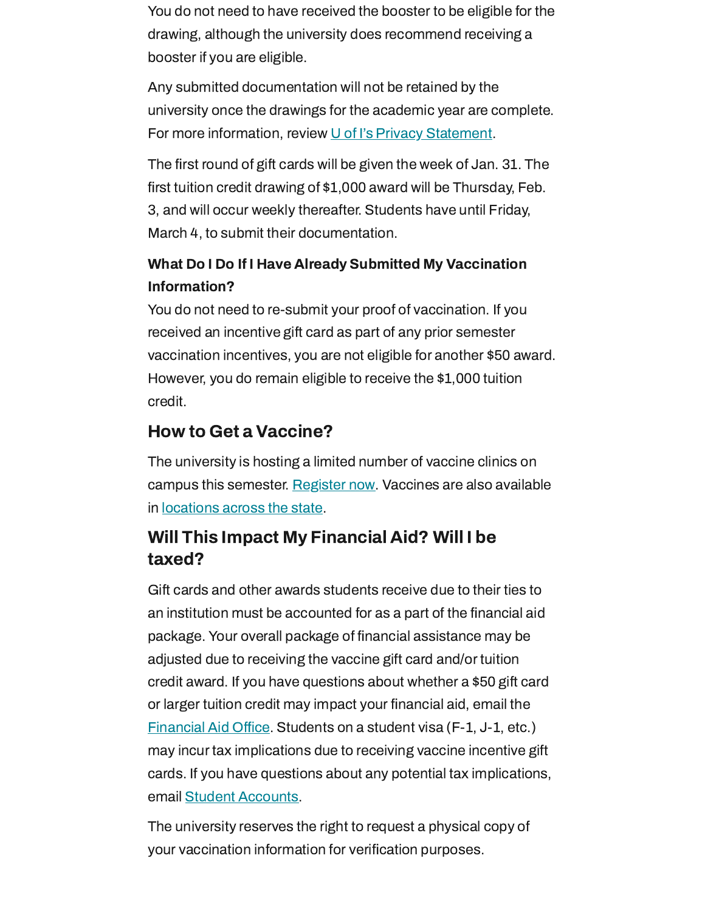You do not need to have received the booster to be eligible for the drawing, although the university does recommend receiving a booster if you are eligible.

Any submitted documentation will not be retained by the university once the drawings for the academic year are complete. For more information, review U of I's Privacy [Statement](https://www.uidaho.edu/privacy).

The first round of gift cards will be given the week of Jan. 31. The first tuition credit drawing of \$1,000 award will be Thursday, Feb. 3, and will occur weekly thereafter. Students have until Friday, March 4, to submit their documentation.

## What Do I Do If I Have Already Submitted My Vaccination Information?

You do not need to re-submit your proof of vaccination. If you received an incentive gift card as part of any prior semester vaccination incentives, you are not eligible for another \$50 award. However, you do remain eligible to receive the \$1,000 tuition credit.

## How to Get a Vaccine?

The university is hosting a limited number of vaccine clinics on campus this semester. [Register](https://www.uidaho.edu/vandal-health-clinic/coronavirus/vaccine/pre-register) now. Vaccines are also available in [locations](https://www.vaccines.gov/search/) across the state.

## Will This Impact My Financial Aid? Will I be taxed?

Gift cards and other awards students receive due to their ties to an institution must be accounted for as a part of the financial aid package. Your overall package of financial assistance may be adjusted due to receiving the vaccine gift card and/or tuition credit award. If you have questions about whether a \$50 gift card or larger tuition credit may impact your financial aid, email the [Financial](mailto:finaid@uidaho.edu) Aid Office. Students on a student visa (F-1, J-1, etc.) may incur tax implications due to receiving vaccine incentive gift cards. If you have questions about any potential tax implications, email Student [Accounts.](mailto:acctrec@uidaho.edu)

The university reserves the right to request a physical copy of your vaccination information for verification purposes.